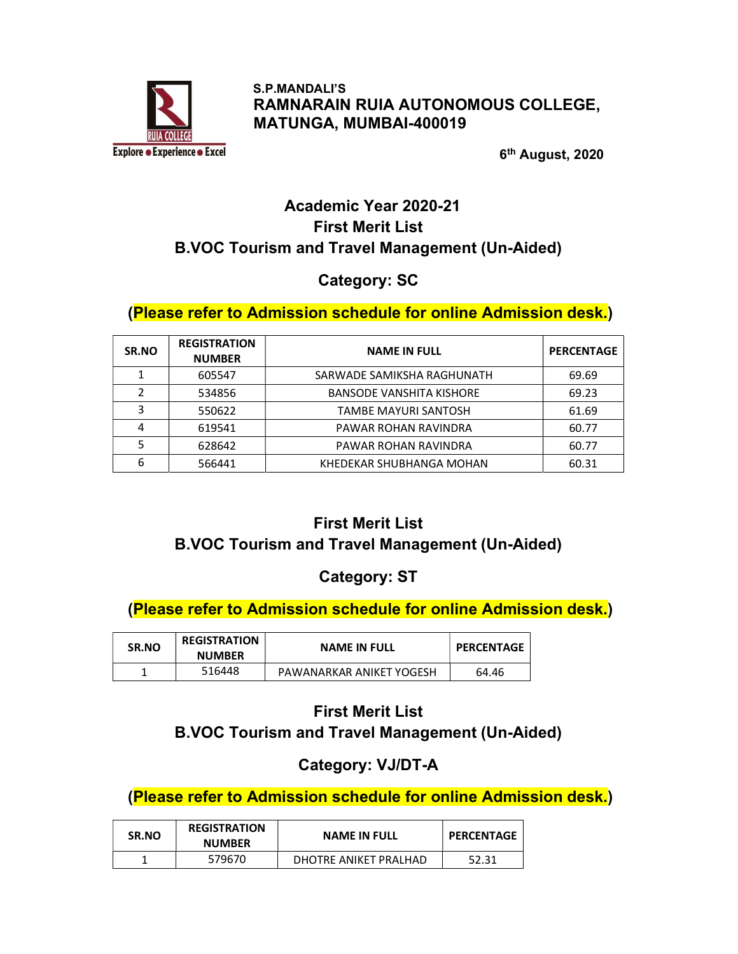

 S.P.MANDALI'S RAMNARAIN RUIA AUTONOMOUS COLLEGE, MATUNGA, MUMBAI-400019

 $6<sup>1</sup>$  6<sup>t</sup> 6<sup>th</sup> August, 2020

# Academic Year 2020-21 First Merit List B.VOC Tourism and Travel Management (Un-Aided)

# Category: SC

### (Please refer to Admission schedule for online Admission desk.)

| SR.NO | <b>REGISTRATION</b><br><b>NUMBER</b> | <b>NAME IN FULL</b>             | <b>PERCENTAGE</b> |
|-------|--------------------------------------|---------------------------------|-------------------|
|       | 605547                               | SARWADE SAMIKSHA RAGHUNATH      | 69.69             |
| 2     | 534856                               | <b>BANSODE VANSHITA KISHORE</b> | 69.23             |
| 3     | 550622                               | TAMBE MAYURI SANTOSH            | 61.69             |
| 4     | 619541                               | PAWAR ROHAN RAVINDRA            | 60.77             |
|       | 628642                               | PAWAR ROHAN RAVINDRA            | 60.77             |
| 6     | 566441                               | KHEDEKAR SHUBHANGA MOHAN        | 60.31             |

# First Merit List

# B.VOC Tourism and Travel Management (Un-Aided)

# Category: ST

# (Please refer to Admission schedule for online Admission desk.)

| <b>REGISTRATION</b><br><b>SR.NO</b><br><b>NUMBER</b> |        | <b>NAME IN FULL</b>      | <b>PERCENTAGE</b> |
|------------------------------------------------------|--------|--------------------------|-------------------|
|                                                      | 516448 | PAWANARKAR ANIKET YOGESH | 64.46             |

# First Merit List B.VOC Tourism and Travel Management (Un-Aided)

# Category: VJ/DT-A

| <b>REGISTRATION</b><br><b>SR.NO</b><br><b>NUMBER</b> |        | <b>NAME IN FULL</b>    | <b>PERCENTAGE</b> |
|------------------------------------------------------|--------|------------------------|-------------------|
|                                                      | 579670 | DHOTRE ANIKET PRAI HAD | 52.31             |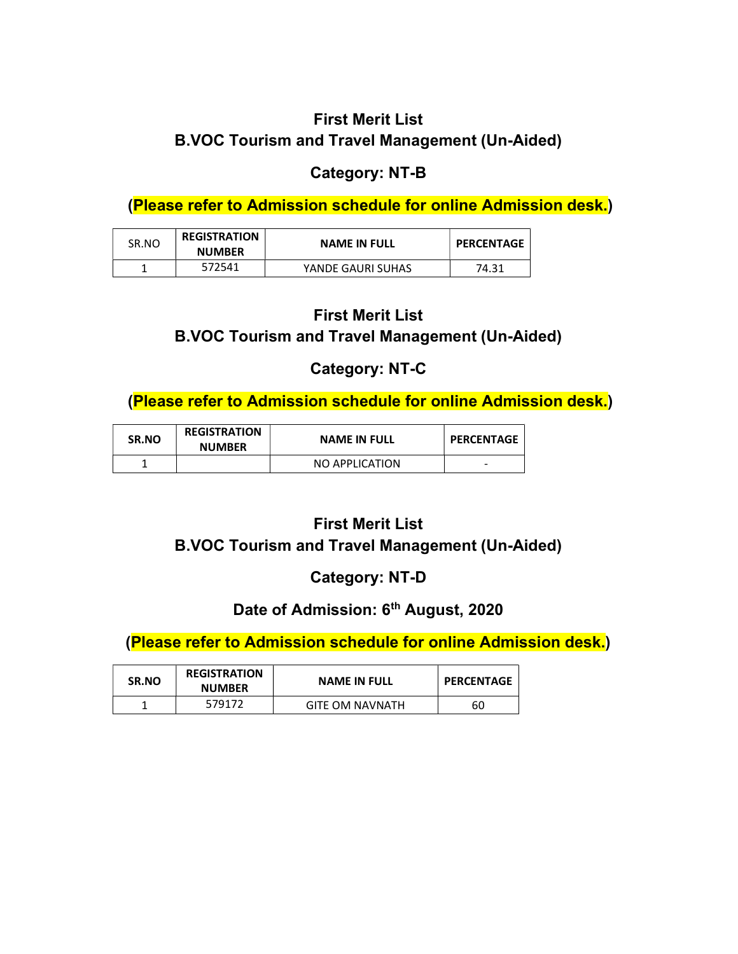# Category: NT-B

(Please refer to Admission schedule for online Admission desk.)

| SR.NO | <b>REGISTRATION</b><br><b>NUMBER</b> | <b>NAME IN FULL</b> | <b>PERCENTAGE</b> |
|-------|--------------------------------------|---------------------|-------------------|
|       | 572541                               | YANDE GAURI SUHAS   | 74.31             |

# First Merit List B.VOC Tourism and Travel Management (Un-Aided)

# Category: NT-C

(Please refer to Admission schedule for online Admission desk.)

| SR.NO | <b>REGISTRATION</b><br><b>NUMBER</b> | <b>NAME IN FULL</b> | <b>PERCENTAGE</b> |
|-------|--------------------------------------|---------------------|-------------------|
|       |                                      | NO APPLICATION      | -                 |

# First Merit List

### B.VOC Tourism and Travel Management (Un-Aided)

# Category: NT-D

# Date of Admission: 6<sup>th</sup> August, 2020

| <b>SR.NO</b> | <b>REGISTRATION</b><br><b>NUMBER</b> | <b>NAME IN FULL</b>    | <b>PERCENTAGE</b> |
|--------------|--------------------------------------|------------------------|-------------------|
|              | 579172                               | <b>GITE OM NAVNATH</b> | 60                |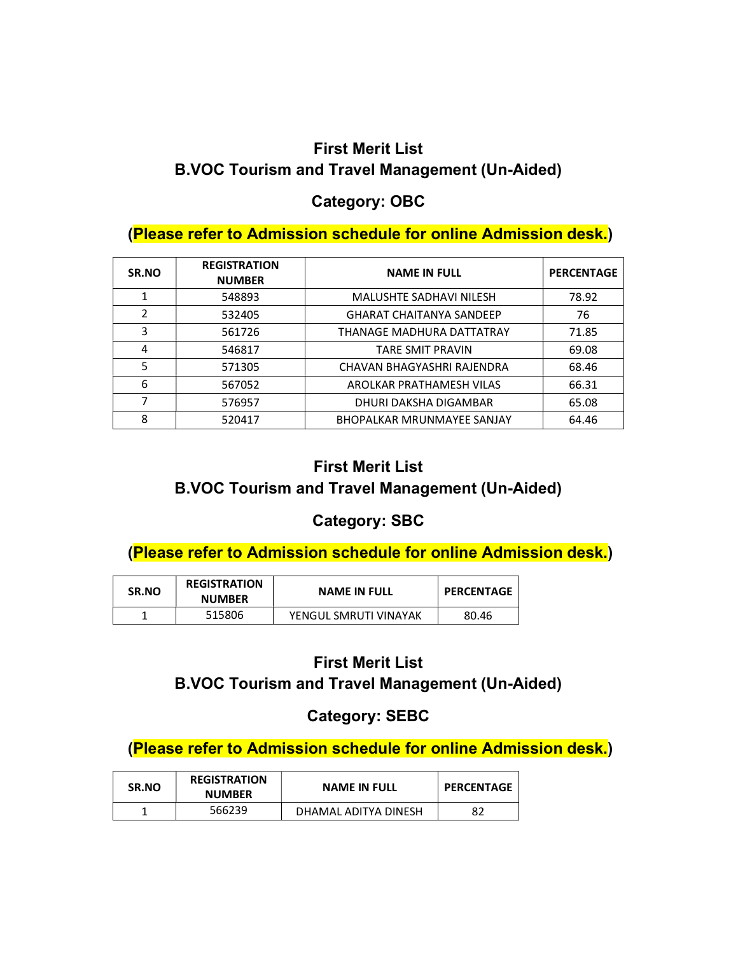### Category: OBC

#### (Please refer to Admission schedule for online Admission desk.)

| SR.NO | <b>REGISTRATION</b><br><b>NUMBER</b> | <b>NAME IN FULL</b>               | <b>PERCENTAGE</b> |
|-------|--------------------------------------|-----------------------------------|-------------------|
| 1     | 548893                               | <b>MALUSHTE SADHAVI NILESH</b>    | 78.92             |
| 2     | 532405                               | <b>GHARAT CHAITANYA SANDEEP</b>   | 76                |
| 3     | 561726                               | THANAGE MADHURA DATTATRAY         | 71.85             |
| 4     | 546817                               | TARE SMIT PRAVIN                  | 69.08             |
| 5     | 571305                               | CHAVAN BHAGYASHRI RAJENDRA        | 68.46             |
| 6     | 567052                               | AROLKAR PRATHAMESH VILAS          | 66.31             |
| 7     | 576957                               | DHURI DAKSHA DIGAMBAR             | 65.08             |
| 8     | 520417                               | <b>BHOPALKAR MRUNMAYEE SANJAY</b> | 64.46             |

# First Merit List B.VOC Tourism and Travel Management (Un-Aided)

### Category: SBC

### (Please refer to Admission schedule for online Admission desk.)

| SR.NO | <b>REGISTRATION</b><br><b>NUMBER</b> | <b>NAME IN FULL</b>   | <b>PERCENTAGE</b> |
|-------|--------------------------------------|-----------------------|-------------------|
|       | 515806                               | YENGUL SMRUTI VINAYAK | 80.46             |

#### First Merit List

#### B.VOC Tourism and Travel Management (Un-Aided)

### Category: SEBC

| <b>SR.NO</b> | <b>REGISTRATION</b><br><b>NUMBER</b> | <b>NAME IN FULL</b>  | <b>PERCENTAGE</b> |
|--------------|--------------------------------------|----------------------|-------------------|
|              | 566239                               | DHAMAL ADITYA DINESH | 82                |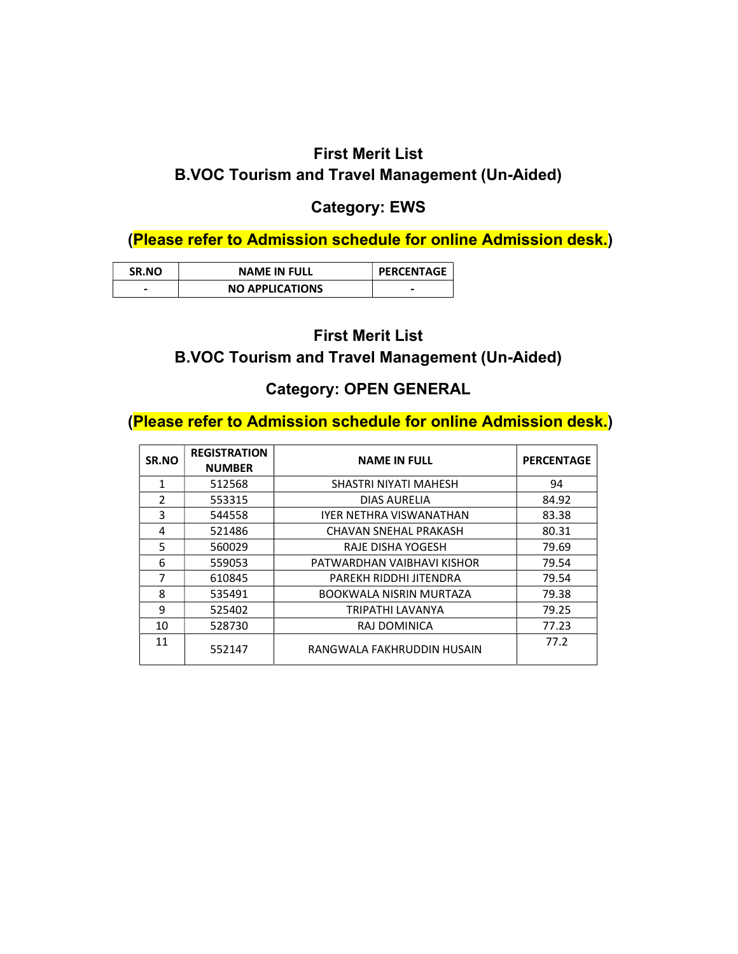### Category: EWS

(Please refer to Admission schedule for online Admission desk.)

| <b>SR.NO</b> | <b>NAME IN FULL</b>    | <b>PERCENTAGE</b> |
|--------------|------------------------|-------------------|
|              | <b>NO APPLICATIONS</b> | -                 |

#### First Merit List

#### B.VOC Tourism and Travel Management (Un-Aided)

#### Category: OPEN GENERAL

| SR.NO         | <b>REGISTRATION</b><br><b>NUMBER</b> | <b>NAME IN FULL</b>            | <b>PERCENTAGE</b> |
|---------------|--------------------------------------|--------------------------------|-------------------|
| 1             | 512568                               | SHASTRI NIYATI MAHESH          | 94                |
| $\mathcal{P}$ | 553315                               | <b>DIAS AURELIA</b>            | 84.92             |
| 3             | 544558                               | <b>IYER NETHRA VISWANATHAN</b> | 83.38             |
| 4             | 521486                               | CHAVAN SNEHAL PRAKASH          | 80.31             |
| 5             | 560029                               | RAJE DISHA YOGESH              | 79.69             |
| 6             | 559053                               | PATWARDHAN VAIBHAVI KISHOR     | 79.54             |
| 7             | 610845                               | PAREKH RIDDHI JITENDRA         | 79.54             |
| 8             | 535491                               | <b>BOOKWALA NISRIN MURTAZA</b> | 79.38             |
| 9             | 525402                               | TRIPATHI LAVANYA               | 79.25             |
| 10            | 528730                               | RAJ DOMINICA                   | 77.23             |
| 11            | 552147                               | RANGWALA FAKHRUDDIN HUSAIN     | 77.2              |